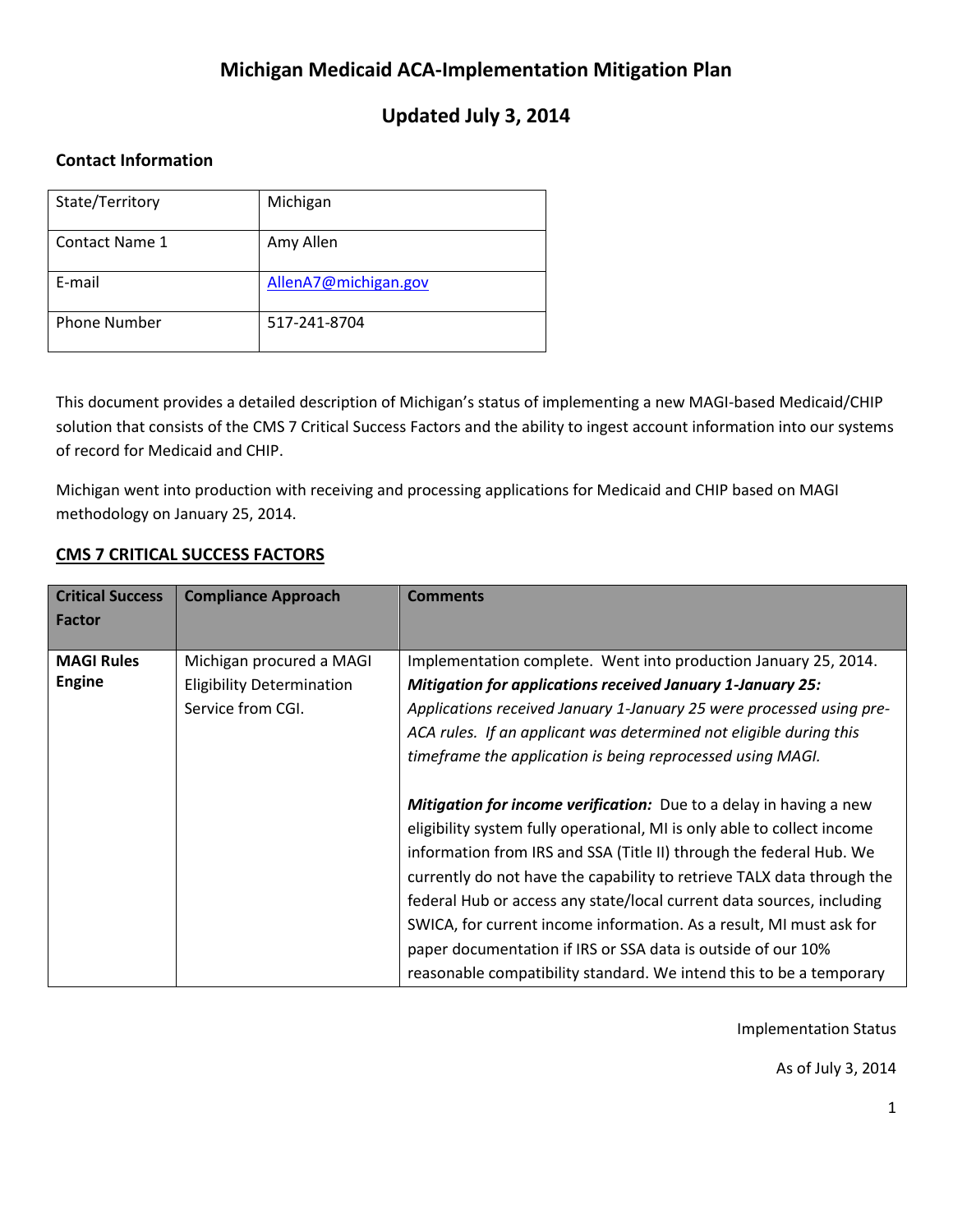# **Michigan Medicaid ACA-Implementation Mitigation Plan**

# **Updated July 3, 2014**

# **Contact Information**

| State/Territory       | Michigan             |
|-----------------------|----------------------|
| <b>Contact Name 1</b> | Amy Allen            |
| E-mail                | AllenA7@michigan.gov |
| <b>Phone Number</b>   | 517-241-8704         |

This document provides a detailed description of Michigan's status of implementing a new MAGI-based Medicaid/CHIP solution that consists of the CMS 7 Critical Success Factors and the ability to ingest account information into our systems of record for Medicaid and CHIP.

Michigan went into production with receiving and processing applications for Medicaid and CHIP based on MAGI methodology on January 25, 2014.

# **CMS 7 CRITICAL SUCCESS FACTORS**

| <b>Critical Success</b> | <b>Compliance Approach</b>       | <b>Comments</b>                                                           |
|-------------------------|----------------------------------|---------------------------------------------------------------------------|
| <b>Factor</b>           |                                  |                                                                           |
|                         |                                  |                                                                           |
| <b>MAGI Rules</b>       | Michigan procured a MAGI         | Implementation complete. Went into production January 25, 2014.           |
| <b>Engine</b>           | <b>Eligibility Determination</b> | <b>Mitigation for applications received January 1-January 25:</b>         |
|                         | Service from CGI.                | Applications received January 1-January 25 were processed using pre-      |
|                         |                                  | ACA rules. If an applicant was determined not eligible during this        |
|                         |                                  | timeframe the application is being reprocessed using MAGI.                |
|                         |                                  |                                                                           |
|                         |                                  | <b>Mitigation for income verification:</b> Due to a delay in having a new |
|                         |                                  | eligibility system fully operational, MI is only able to collect income   |
|                         |                                  | information from IRS and SSA (Title II) through the federal Hub. We       |
|                         |                                  | currently do not have the capability to retrieve TALX data through the    |
|                         |                                  | federal Hub or access any state/local current data sources, including     |
|                         |                                  | SWICA, for current income information. As a result, MI must ask for       |
|                         |                                  | paper documentation if IRS or SSA data is outside of our 10%              |
|                         |                                  | reasonable compatibility standard. We intend this to be a temporary       |

Implementation Status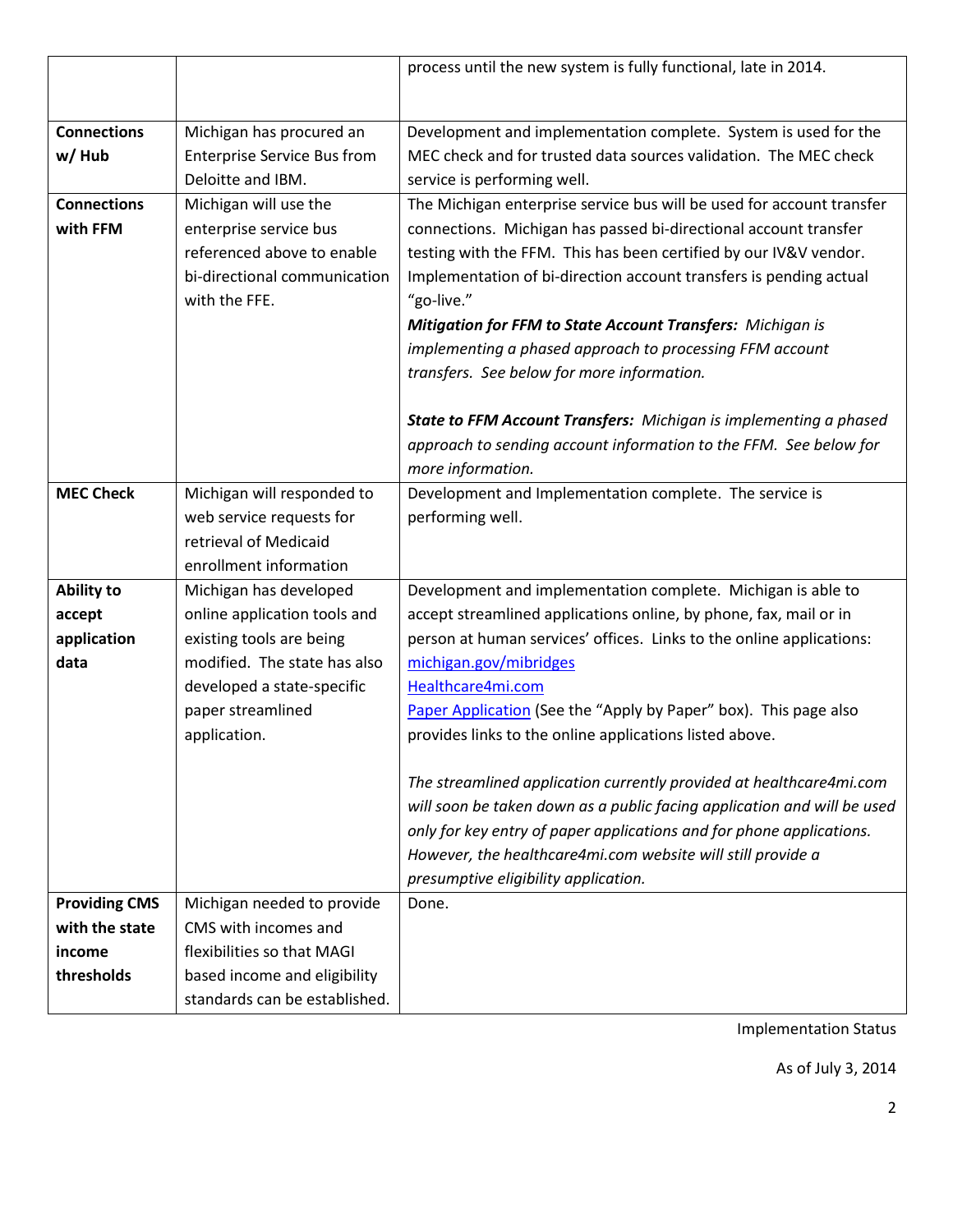|                      |                                    | process until the new system is fully functional, late in 2014.         |
|----------------------|------------------------------------|-------------------------------------------------------------------------|
|                      |                                    |                                                                         |
|                      |                                    |                                                                         |
| <b>Connections</b>   | Michigan has procured an           | Development and implementation complete. System is used for the         |
| w/Hub                | <b>Enterprise Service Bus from</b> | MEC check and for trusted data sources validation. The MEC check        |
|                      | Deloitte and IBM.                  | service is performing well.                                             |
| <b>Connections</b>   | Michigan will use the              | The Michigan enterprise service bus will be used for account transfer   |
| with FFM             | enterprise service bus             | connections. Michigan has passed bi-directional account transfer        |
|                      | referenced above to enable         | testing with the FFM. This has been certified by our IV&V vendor.       |
|                      | bi-directional communication       | Implementation of bi-direction account transfers is pending actual      |
|                      | with the FFE.                      | "go-live."                                                              |
|                      |                                    | Mitigation for FFM to State Account Transfers: Michigan is              |
|                      |                                    | implementing a phased approach to processing FFM account                |
|                      |                                    | transfers. See below for more information.                              |
|                      |                                    |                                                                         |
|                      |                                    | State to FFM Account Transfers: Michigan is implementing a phased       |
|                      |                                    | approach to sending account information to the FFM. See below for       |
|                      |                                    | more information.                                                       |
| <b>MEC Check</b>     | Michigan will responded to         | Development and Implementation complete. The service is                 |
|                      | web service requests for           | performing well.                                                        |
|                      | retrieval of Medicaid              |                                                                         |
|                      | enrollment information             |                                                                         |
| <b>Ability to</b>    | Michigan has developed             | Development and implementation complete. Michigan is able to            |
| accept               | online application tools and       | accept streamlined applications online, by phone, fax, mail or in       |
| application          | existing tools are being           | person at human services' offices. Links to the online applications:    |
| data                 | modified. The state has also       | michigan.gov/mibridges                                                  |
|                      | developed a state-specific         | Healthcare4mi.com                                                       |
|                      | paper streamlined                  | Paper Application (See the "Apply by Paper" box). This page also        |
|                      | application.                       | provides links to the online applications listed above.                 |
|                      |                                    |                                                                         |
|                      |                                    | The streamlined application currently provided at healthcare4mi.com     |
|                      |                                    | will soon be taken down as a public facing application and will be used |
|                      |                                    | only for key entry of paper applications and for phone applications.    |
|                      |                                    | However, the healthcare4mi.com website will still provide a             |
|                      |                                    | presumptive eligibility application.                                    |
| <b>Providing CMS</b> | Michigan needed to provide         | Done.                                                                   |
| with the state       | CMS with incomes and               |                                                                         |
| income               | flexibilities so that MAGI         |                                                                         |
| thresholds           | based income and eligibility       |                                                                         |
|                      | standards can be established.      |                                                                         |

Implementation Status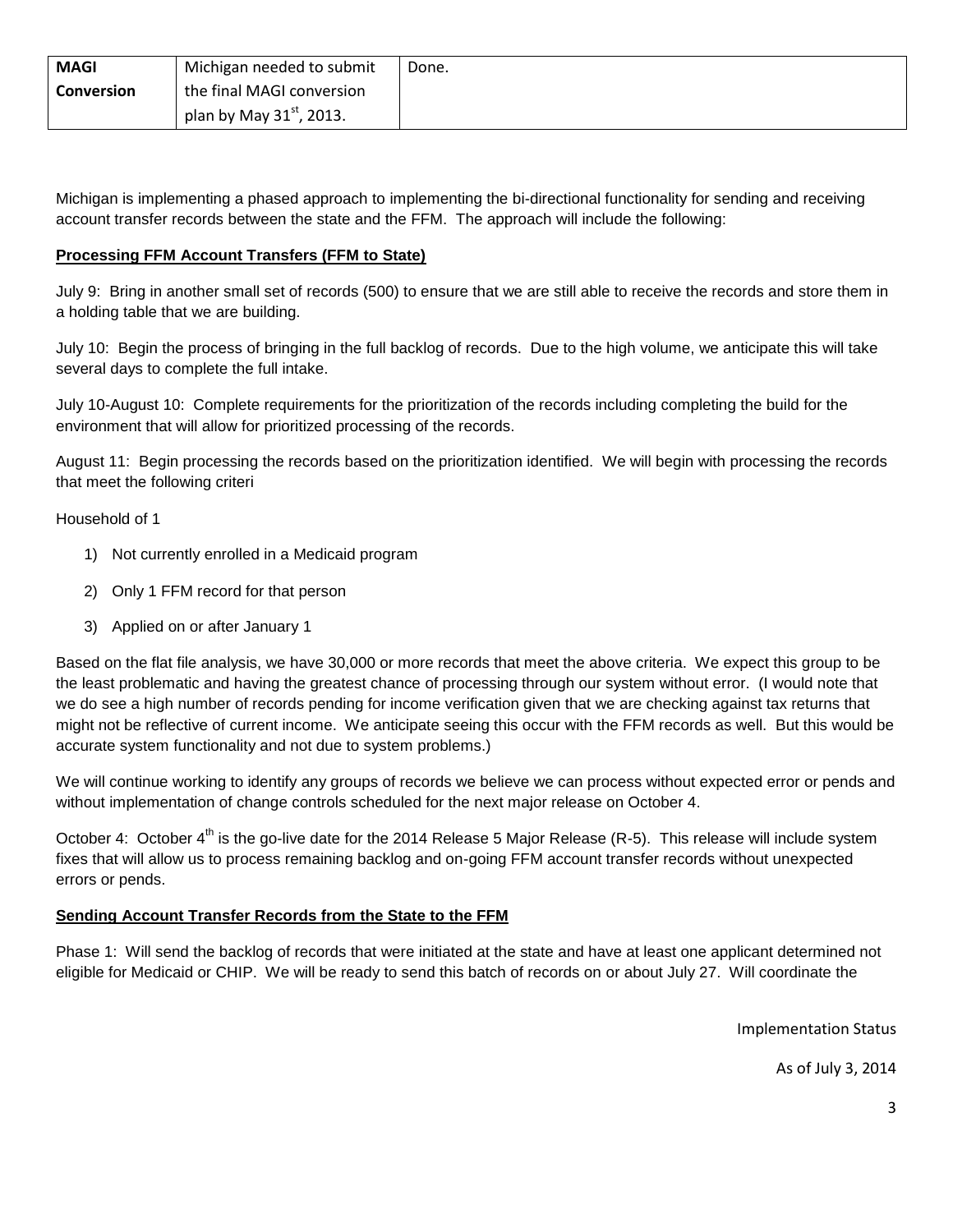| <b>MAGI</b>       | Michigan needed to submit  | Done. |
|-------------------|----------------------------|-------|
| <b>Conversion</b> | the final MAGI conversion  |       |
|                   | plan by May $31st$ , 2013. |       |

Michigan is implementing a phased approach to implementing the bi-directional functionality for sending and receiving account transfer records between the state and the FFM. The approach will include the following:

### **Processing FFM Account Transfers (FFM to State)**

July 9: Bring in another small set of records (500) to ensure that we are still able to receive the records and store them in a holding table that we are building.

July 10: Begin the process of bringing in the full backlog of records. Due to the high volume, we anticipate this will take several days to complete the full intake.

July 10-August 10: Complete requirements for the prioritization of the records including completing the build for the environment that will allow for prioritized processing of the records.

August 11: Begin processing the records based on the prioritization identified. We will begin with processing the records that meet the following criteri

#### Household of 1

- 1) Not currently enrolled in a Medicaid program
- 2) Only 1 FFM record for that person
- 3) Applied on or after January 1

Based on the flat file analysis, we have 30,000 or more records that meet the above criteria. We expect this group to be the least problematic and having the greatest chance of processing through our system without error. (I would note that we do see a high number of records pending for income verification given that we are checking against tax returns that might not be reflective of current income. We anticipate seeing this occur with the FFM records as well. But this would be accurate system functionality and not due to system problems.)

We will continue working to identify any groups of records we believe we can process without expected error or pends and without implementation of change controls scheduled for the next major release on October 4.

October 4: October 4<sup>th</sup> is the go-live date for the 2014 Release 5 Major Release (R-5). This release will include system fixes that will allow us to process remaining backlog and on-going FFM account transfer records without unexpected errors or pends.

## **Sending Account Transfer Records from the State to the FFM**

Phase 1: Will send the backlog of records that were initiated at the state and have at least one applicant determined not eligible for Medicaid or CHIP. We will be ready to send this batch of records on or about July 27. Will coordinate the

Implementation Status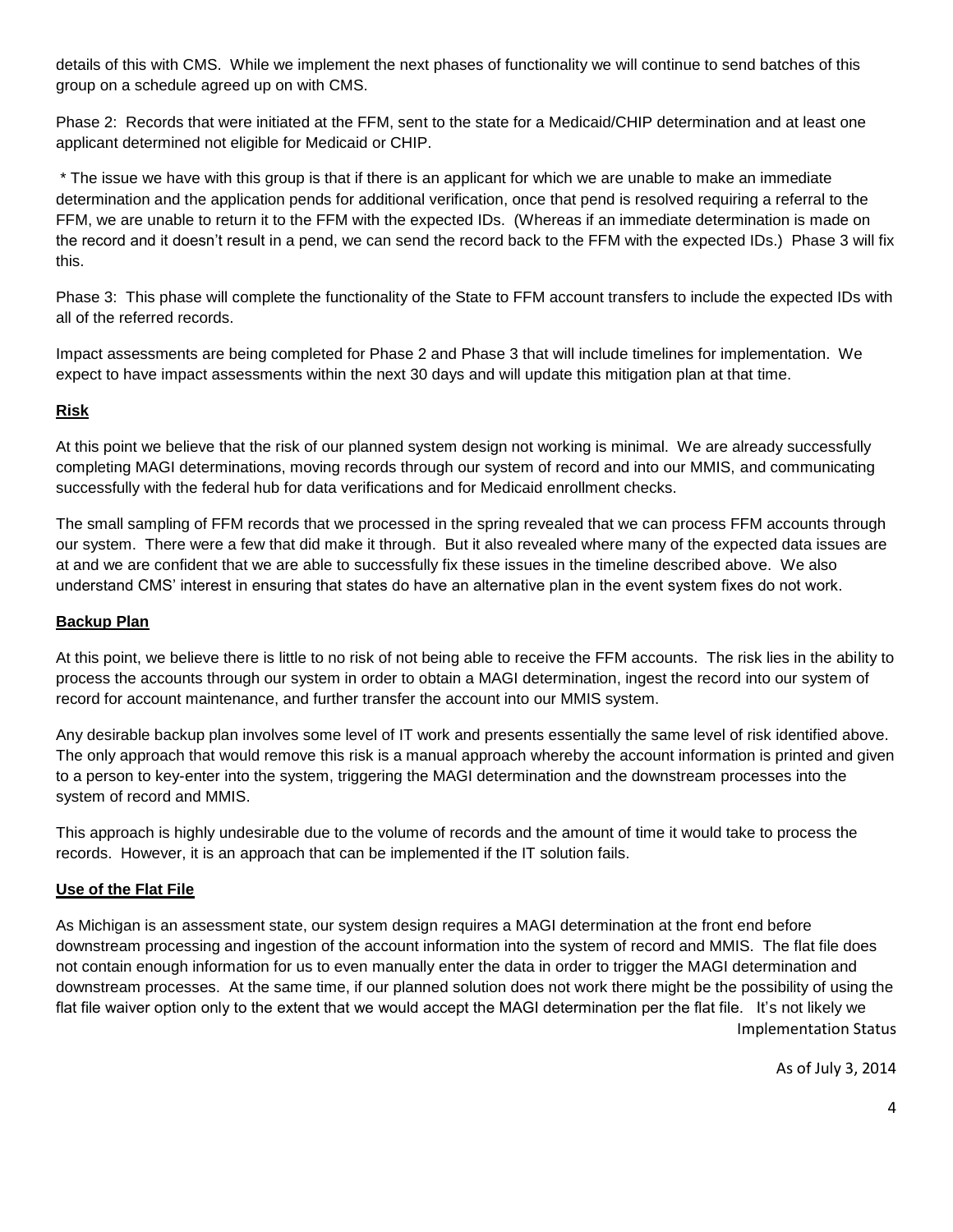details of this with CMS. While we implement the next phases of functionality we will continue to send batches of this group on a schedule agreed up on with CMS.

Phase 2: Records that were initiated at the FFM, sent to the state for a Medicaid/CHIP determination and at least one applicant determined not eligible for Medicaid or CHIP.

\* The issue we have with this group is that if there is an applicant for which we are unable to make an immediate determination and the application pends for additional verification, once that pend is resolved requiring a referral to the FFM, we are unable to return it to the FFM with the expected IDs. (Whereas if an immediate determination is made on the record and it doesn't result in a pend, we can send the record back to the FFM with the expected IDs.) Phase 3 will fix this.

Phase 3: This phase will complete the functionality of the State to FFM account transfers to include the expected IDs with all of the referred records.

Impact assessments are being completed for Phase 2 and Phase 3 that will include timelines for implementation. We expect to have impact assessments within the next 30 days and will update this mitigation plan at that time.

## **Risk**

At this point we believe that the risk of our planned system design not working is minimal. We are already successfully completing MAGI determinations, moving records through our system of record and into our MMIS, and communicating successfully with the federal hub for data verifications and for Medicaid enrollment checks.

The small sampling of FFM records that we processed in the spring revealed that we can process FFM accounts through our system. There were a few that did make it through. But it also revealed where many of the expected data issues are at and we are confident that we are able to successfully fix these issues in the timeline described above. We also understand CMS' interest in ensuring that states do have an alternative plan in the event system fixes do not work.

### **Backup Plan**

At this point, we believe there is little to no risk of not being able to receive the FFM accounts. The risk lies in the ability to process the accounts through our system in order to obtain a MAGI determination, ingest the record into our system of record for account maintenance, and further transfer the account into our MMIS system.

Any desirable backup plan involves some level of IT work and presents essentially the same level of risk identified above. The only approach that would remove this risk is a manual approach whereby the account information is printed and given to a person to key-enter into the system, triggering the MAGI determination and the downstream processes into the system of record and MMIS.

This approach is highly undesirable due to the volume of records and the amount of time it would take to process the records. However, it is an approach that can be implemented if the IT solution fails.

#### **Use of the Flat File**

Implementation Status As Michigan is an assessment state, our system design requires a MAGI determination at the front end before downstream processing and ingestion of the account information into the system of record and MMIS. The flat file does not contain enough information for us to even manually enter the data in order to trigger the MAGI determination and downstream processes. At the same time, if our planned solution does not work there might be the possibility of using the flat file waiver option only to the extent that we would accept the MAGI determination per the flat file. It's not likely we